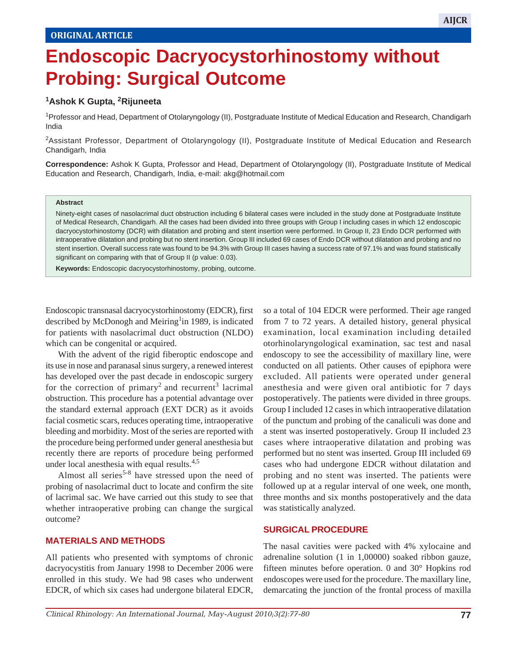# **Endoscopic Dacryocystorhinostomy without Probing: Surgical Outcome**

# **1Ashok K Gupta, 2Rijuneeta**

<sup>1</sup> Professor and Head, Department of Otolaryngology (II), Postgraduate Institute of Medical Education and Research, Chandigarh India

2 Assistant Professor, Department of Otolaryngology (II), Postgraduate Institute of Medical Education and Research Chandigarh, India

**Correspondence:** Ashok K Gupta, Professor and Head, Department of Otolaryngology (II), Postgraduate Institute of Medical Education and Research, Chandigarh, India, e-mail: akg@hotmail.com

#### **Abstract**

Ninety-eight cases of nasolacrimal duct obstruction including 6 bilateral cases were included in the study done at Postgraduate Institute of Medical Research, Chandigarh. All the cases had been divided into three groups with Group I including cases in which 12 endoscopic dacryocystorhinostomy (DCR) with dilatation and probing and stent insertion were performed. In Group II, 23 Endo DCR performed with intraoperative dilatation and probing but no stent insertion. Group III included 69 cases of Endo DCR without dilatation and probing and no stent insertion. Overall success rate was found to be 94.3% with Group III cases having a success rate of 97.1% and was found statistically significant on comparing with that of Group II (p value: 0.03).

**Keywords:** Endoscopic dacryocystorhinostomy, probing, outcome.

Endoscopic transnasal dacryocystorhinostomy (EDCR), first described by McDonogh and Meiring<sup>1</sup>in 1989, is indicated for patients with nasolacrimal duct obstruction (NLDO) which can be congenital or acquired.

With the advent of the rigid fiberoptic endoscope and its use in nose and paranasal sinus surgery, a renewed interest has developed over the past decade in endoscopic surgery for the correction of primary<sup>2</sup> and recurrent<sup>3</sup> lacrimal obstruction. This procedure has a potential advantage over the standard external approach (EXT DCR) as it avoids facial cosmetic scars, reduces operating time, intraoperative bleeding and morbidity. Most of the series are reported with the procedure being performed under general anesthesia but recently there are reports of procedure being performed under local anesthesia with equal results.<sup>4,5</sup>

Almost all series<sup>5-8</sup> have stressed upon the need of probing of nasolacrimal duct to locate and confirm the site of lacrimal sac. We have carried out this study to see that whether intraoperative probing can change the surgical outcome?

### **MATERIALS AND METHODS**

All patients who presented with symptoms of chronic dacryocystitis from January 1998 to December 2006 were enrolled in this study. We had 98 cases who underwent EDCR, of which six cases had undergone bilateral EDCR, so a total of 104 EDCR were performed. Their age ranged from 7 to 72 years. A detailed history, general physical examination, local examination including detailed otorhinolaryngological examination, sac test and nasal endoscopy to see the accessibility of maxillary line, were conducted on all patients. Other causes of epiphora were excluded. All patients were operated under general anesthesia and were given oral antibiotic for 7 days postoperatively. The patients were divided in three groups. Group I included 12 cases in which intraoperative dilatation of the punctum and probing of the canaliculi was done and a stent was inserted postoperatively. Group II included 23 cases where intraoperative dilatation and probing was performed but no stent was inserted. Group III included 69 cases who had undergone EDCR without dilatation and probing and no stent was inserted. The patients were followed up at a regular interval of one week, one month, three months and six months postoperatively and the data was statistically analyzed.

 $\mathbb{E}_{\mathcal{A}}$  , and  $\mathbb{E}_{\mathcal{A}}$  and  $\mathbb{E}_{\mathcal{A}}$  and  $\mathbb{E}_{\mathcal{A}}$  and  $\mathbb{E}_{\mathcal{A}}$  and  $\mathbb{E}_{\mathcal{A}}$  and  $\mathbb{E}_{\mathcal{A}}$ 

# **SURGICAL PROCEDURE**

The nasal cavities were packed with 4% xylocaine and adrenaline solution (1 in 1,00000) soaked ribbon gauze, fifteen minutes before operation. 0 and 30° Hopkins rod endoscopes were used for the procedure. The maxillary line, demarcating the junction of the frontal process of maxilla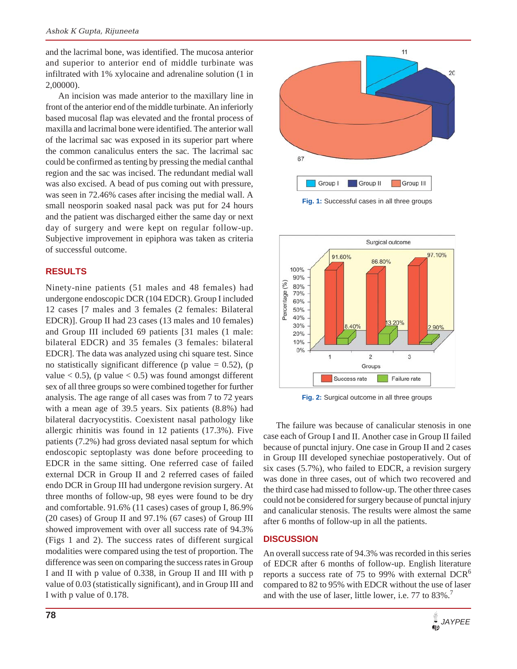and the lacrimal bone, was identified. The mucosa anterior and superior to anterior end of middle turbinate was infiltrated with 1% xylocaine and adrenaline solution (1 in 2,00000).

An incision was made anterior to the maxillary line in front of the anterior end of the middle turbinate. An inferiorly based mucosal flap was elevated and the frontal process of maxilla and lacrimal bone were identified. The anterior wall of the lacrimal sac was exposed in its superior part where the common canaliculus enters the sac. The lacrimal sac could be confirmed as tenting by pressing the medial canthal region and the sac was incised. The redundant medial wall was also excised. A bead of pus coming out with pressure, was seen in 72.46% cases after incising the medial wall. A small neosporin soaked nasal pack was put for 24 hours and the patient was discharged either the same day or next day of surgery and were kept on regular follow-up. Subjective improvement in epiphora was taken as criteria of successful outcome.

### **RESULTS**

Ninety-nine patients (51 males and 48 females) had undergone endoscopic DCR (104 EDCR). Group I included 12 cases [7 males and 3 females (2 females: Bilateral EDCR)]. Group II had 23 cases (13 males and 10 females) and Group III included 69 patients [31 males (1 male: bilateral EDCR) and 35 females (3 females: bilateral EDCR]. The data was analyzed using chi square test. Since no statistically significant difference (p value  $= 0.52$ ), (p value  $< 0.5$ ), (p value  $< 0.5$ ) was found amongst different sex of all three groups so were combined together for further analysis. The age range of all cases was from 7 to 72 years with a mean age of 39.5 years. Six patients (8.8%) had bilateral dacryocystitis. Coexistent nasal pathology like allergic rhinitis was found in 12 patients (17.3%). Five patients (7.2%) had gross deviated nasal septum for which endoscopic septoplasty was done before proceeding to EDCR in the same sitting. One referred case of failed external DCR in Group II and 2 referred cases of failed endo DCR in Group III had undergone revision surgery. At three months of follow-up, 98 eyes were found to be dry and comfortable. 91.6% (11 cases) cases of group I, 86.9% (20 cases) of Group II and 97.1% (67 cases) of Group III showed improvement with over all success rate of 94.3% (Figs 1 and 2). The success rates of different surgical modalities were compared using the test of proportion. The difference was seen on comparing the success rates in Group I and II with p value of 0.338, in Group II and III with p value of 0.03 (statistically significant), and in Group III and I with p value of 0.178.



**Fig. 1:** Successful cases in all three groups



**Fig. 2:** Surgical outcome in all three groups

The failure was because of canalicular stenosis in one case each of Group I and II. Another case in Group II failed because of punctal injury. One case in Group II and 2 cases in Group III developed synechiae postoperatively. Out of six cases (5.7%), who failed to EDCR, a revision surgery was done in three cases, out of which two recovered and the third case had missed to follow-up. The other three cases could not be considered for surgery because of punctal injury and canalicular stenosis. The results were almost the same after 6 months of follow-up in all the patients.

#### **DISCUSSION**

An overall success rate of 94.3% was recorded in this series of EDCR after 6 months of follow-up. English literature reports a success rate of 75 to 99% with external  $DCR<sup>6</sup>$ compared to 82 to 95% with EDCR without the use of laser and with the use of laser, little lower, i.e. 77 to 83%.<sup>7</sup>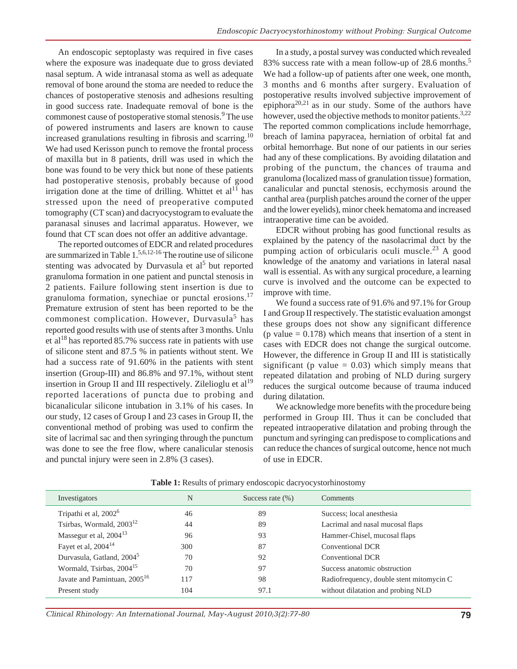An endoscopic septoplasty was required in five cases where the exposure was inadequate due to gross deviated nasal septum. A wide intranasal stoma as well as adequate removal of bone around the stoma are needed to reduce the chances of postoperative stenosis and adhesions resulting in good success rate. Inadequate removal of bone is the commonest cause of postoperative stomal stenosis.<sup>9</sup> The use of powered instruments and lasers are known to cause increased granulations resulting in fibrosis and scarring.<sup>10</sup> We had used Kerisson punch to remove the frontal process of maxilla but in 8 patients, drill was used in which the bone was found to be very thick but none of these patients had postoperative stenosis, probably because of good irrigation done at the time of drilling. Whittet et  $al<sup>11</sup>$  has stressed upon the need of preoperative computed tomography (CT scan) and dacryocystogram to evaluate the paranasal sinuses and lacrimal apparatus. However, we found that CT scan does not offer an additive advantage.

The reported outcomes of EDCR and related procedures are summarized in Table 1.5,6,12-16 The routine use of silicone stenting was advocated by Durvasula et al<sup>5</sup> but reported granuloma formation in one patient and punctal stenosis in 2 patients. Failure following stent insertion is due to granuloma formation, synechiae or punctal erosions.<sup>17</sup> Premature extrusion of stent has been reported to be the commonest complication. However, Durvasula<sup>5</sup> has reported good results with use of stents after 3 months. Unlu et al<sup>18</sup> has reported 85.7% success rate in patients with use of silicone stent and 87.5 % in patients without stent. We had a success rate of 91.60% in the patients with stent insertion (Group-III) and 86.8% and 97.1%, without stent insertion in Group II and III respectively. Zilelioglu et al<sup>19</sup> reported lacerations of puncta due to probing and bicanalicular silicone intubation in 3.1% of his cases. In our study, 12 cases of Group I and 23 cases in Group II, the conventional method of probing was used to confirm the site of lacrimal sac and then syringing through the punctum was done to see the free flow, where canalicular stenosis and punctal injury were seen in 2.8% (3 cases).

In a study, a postal survey was conducted which revealed 83% success rate with a mean follow-up of 28.6 months.<sup>5</sup> We had a follow-up of patients after one week, one month, 3 months and 6 months after surgery. Evaluation of postoperative results involved subjective improvement of epiphora<sup>20,21</sup> as in our study. Some of the authors have however, used the objective methods to monitor patients.<sup>3,22</sup> The reported common complications include hemorrhage, breach of lamina papyracea, herniation of orbital fat and orbital hemorrhage. But none of our patients in our series had any of these complications. By avoiding dilatation and probing of the punctum, the chances of trauma and granuloma (localized mass of granulation tissue) formation, canalicular and punctal stenosis, ecchymosis around the canthal area (purplish patches around the corner of the upper and the lower eyelids), minor cheek hematoma and increased intraoperative time can be avoided.

EDCR without probing has good functional results as explained by the patency of the nasolacrimal duct by the pumping action of orbicularis oculi muscle.<sup>23</sup> A good knowledge of the anatomy and variations in lateral nasal wall is essential. As with any surgical procedure, a learning curve is involved and the outcome can be expected to improve with time.

We found a success rate of 91.6% and 97.1% for Group I and Group II respectively. The statistic evaluation amongst these groups does not show any significant difference  $(p \text{ value} = 0.178)$  which means that insertion of a stent in cases with EDCR does not change the surgical outcome. However, the difference in Group II and III is statistically significant (p value  $= 0.03$ ) which simply means that repeated dilatation and probing of NLD during surgery reduces the surgical outcome because of trauma induced during dilatation.

We acknowledge more benefits with the procedure being performed in Group III. Thus it can be concluded that repeated intraoperative dilatation and probing through the punctum and syringing can predispose to complications and can reduce the chances of surgical outcome, hence not much of use in EDCR.

| Investigators                            | N   | Success rate $(\% )$ | <b>Comments</b>                          |
|------------------------------------------|-----|----------------------|------------------------------------------|
| Tripathi et al, 2002 <sup>6</sup>        | 46  | 89                   | Success; local anesthesia                |
| Tsirbas, Wormald, $2003^{12}$            | 44  | 89                   | Lacrimal and nasal mucosal flaps         |
| Massegur et al, $2004^{13}$              | 96  | 93                   | Hammer-Chisel, mucosal flaps             |
| Fayet et al, 2004 <sup>14</sup>          | 300 | 87                   | Conventional DCR                         |
| Durvasula, Gatland, 2004 <sup>5</sup>    | 70  | 92                   | Conventional DCR                         |
| Wormald, Tsirbas, 2004 <sup>15</sup>     | 70  | 97                   | Success anatomic obstruction             |
| Javate and Pamintuan, 2005 <sup>16</sup> | 117 | 98                   | Radiofrequency, double stent mitomycin C |
| Present study                            | 104 | 97.1                 | without dilatation and probing NLD       |

**Table 1:** Results of primary endoscopic dacryocystorhinostomy

Clinical Rhinology: An International Journal, May-August 2010;3(2):77-80 **79**